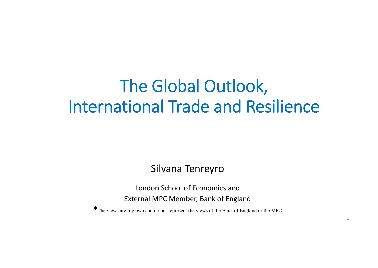# The Global Outlook, International Trade and Resilience

Silvana Tenreyro

London School of Economics andExternal MPC Member, Bank of England

\*The views are my own and do not represent the views of the Bank of England or the MPC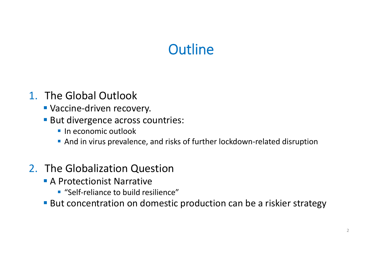# **Outline**

### 1. The Global Outlook

- Vaccine-driven recovery.
- **But divergence across countries:** 
	- **In economic outlook**
	- And in virus prevalence, and risks of further lockdown-related disruption

### 2. The Globalization Question

- **A Protectionist Narrative** 
	- "Self-reliance to build resilience"
- **But concentration on domestic production can be a riskier strategy**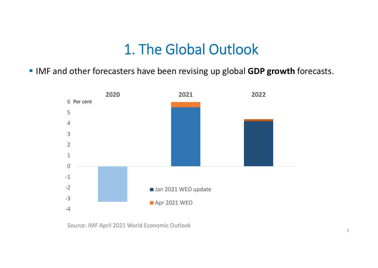**IMF and other forecasters have been revising up global GDP growth forecasts.** 



Source: IMF April 2021 World Economic Outlook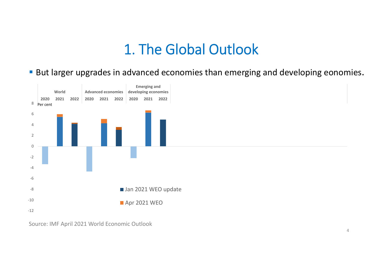**But larger upgrades in advanced economies than emerging and developing eonomies.** 



Source: IMF April 2021 World Economic Outlook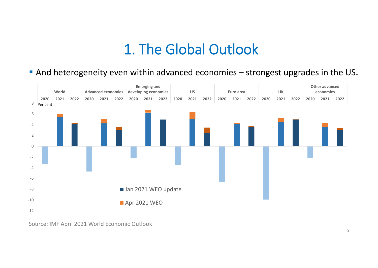And heterogeneity even within advanced economies – strongest upgrades in the US.



Source: IMF April 2021 World Economic Outlook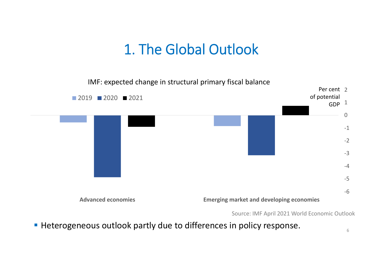‐6‐5‐4‐3‐2 $-1$ 0 <code>GDP $^{\,1}$ </code> Per cent 2 **Advanced economies Emerging market and developing economies** 2019 2020 2021 of potential IMF: expected change in structural primary fiscal balance

Source: IMF April 2021 World Economic Outlook

**Heterogeneous outlook partly due to differences in policy response.**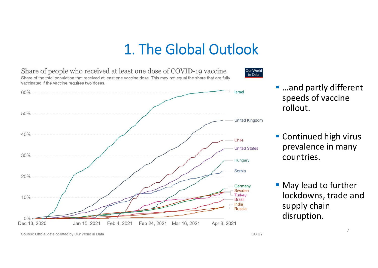Share of people who received at least one dose of COVID-19 vaccine Our World in Data Share of the total population that received at least one vaccine dose. This may not equal the share that are fully vaccinated if the vaccine requires two doses. 60% Israel  $50%$ United Kingdom  $40%$ Chile **United States** 30% Hungary Serbia  $20%$ Germany Sweden **Turkey** 10% **Brazil** India **Russia**  $0\%$ Dec 13, 2020 Jan 15, 2021 Feb 4, 2021 Feb 24, 2021 Mar 16, 2021 Apr 8, 2021

■ …and partly different speeds of vaccine rollout.

**Continued high virus** prevalence in many countries.

Source: Official data collated by Our World in Data

**Nay lead to further** lockdowns, trade and supply chain disruption.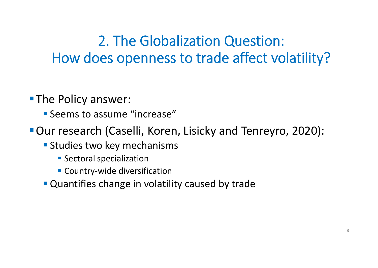# 2. The Globalization Question: How does openness to trade affect volatility?

**The Policy answer:** 

**Seems to assume "increase"** 

Our research (Caselli, Koren, Lisicky and Tenreyro, 2020):

- **Studies two key mechanisms** 
	- **Sectoral specialization**
	- Country-wide diversification
- **Quantifies change in volatility caused by trade**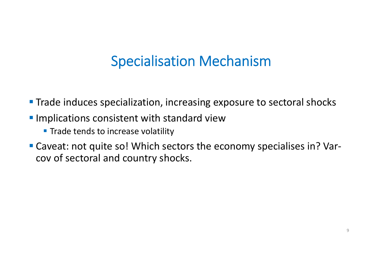# Specialisation Mechanism

- **Trade induces specialization, increasing exposure to sectoral shocks**
- **Implications consistent with standard view** 
	- **Trade tends to increase volatility**
- Caveat: not quite so! Which sectors the economy specialises in? Varcov of sectoral and country shocks.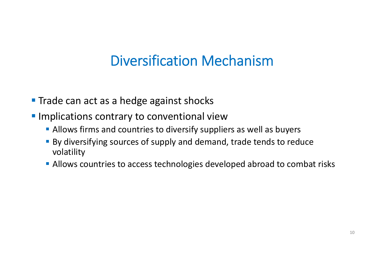# Diversification Mechanism

- **Trade can act as a hedge against shocks**
- **Implications contrary to conventional view** 
	- **Allows firms and countries to diversify suppliers as well as buyers**
	- By diversifying sources of supply and demand, trade tends to reduce volatility
	- **Allows countries to access technologies developed abroad to combat risks**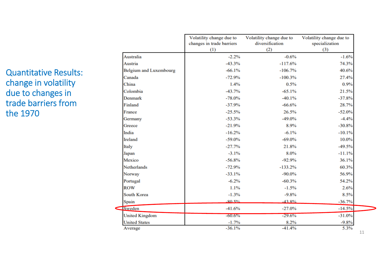Quantitative Results: change in volatility due to changes in trade barriers from the 1970

|                               | Volatility change due to<br>changes in trade barriers<br>(1) | Volatility change due to<br>diversification<br>(2) | Volatility change due to<br>specialization<br>(3) |
|-------------------------------|--------------------------------------------------------------|----------------------------------------------------|---------------------------------------------------|
| Australia                     | $-2.2%$                                                      | $-0.6%$                                            | $-1.6%$                                           |
| Austria                       | $-43.3%$                                                     | $-117.6%$                                          | 74.3%                                             |
| <b>Belgium and Luxembourg</b> | $-66.1%$                                                     | $-106.7%$                                          | 40.6%                                             |
| Canada                        | $-72.9%$                                                     | $-100.3%$                                          | 27.4%                                             |
| China                         | 1.4%                                                         | 0.5%                                               | 0.9%                                              |
| Colombia                      | $-43.7%$                                                     | $-65.1%$                                           | 21.5%                                             |
| <b>Denmark</b>                | $-78.0\%$                                                    | $-40.1%$                                           | $-37.8%$                                          |
| Finland                       | $-37.9%$                                                     | $-66.6%$                                           | 28.7%                                             |
| France                        | $-25.5%$                                                     | 26.5%                                              | $-52.0%$                                          |
| Germany                       | $-53.3%$                                                     | $-49.0%$                                           | $-4.4%$                                           |
| Greece                        | $-21.9%$                                                     | 8.9%                                               | $-30.8%$                                          |
| India                         | $-16.2%$                                                     | $-6.1\%$                                           | $-10.1%$                                          |
| Ireland                       | $-59.0%$                                                     | $-69.0\%$                                          | 10.0%                                             |
| Italy                         | $-27.7%$                                                     | 21.8%                                              | $-49.5%$                                          |
| Japan                         | $-3.1%$                                                      | 8.0%                                               | $-11.1%$                                          |
| Mexico                        | $-56.8%$                                                     | $-92.9%$                                           | 36.1%                                             |
| <b>Netherlands</b>            | $-72.9%$                                                     | $-133.2%$                                          | 60.3%                                             |
| Norway                        | $-33.1%$                                                     | $-90.0\%$                                          | 56.9%                                             |
| Portugal                      | $-6.2%$                                                      | $-60.3%$                                           | 54.2%                                             |
| <b>ROW</b>                    | 1.1%                                                         | $-1.5%$                                            | 2.6%                                              |
| <b>South Korea</b>            | $-1.3%$                                                      | $-9.8%$                                            | 8.5%                                              |
| Spain                         | .80.5%                                                       | $.438\%$                                           | $-36.7%$                                          |
| Sweden                        | $-41.6%$                                                     | $-27.0%$                                           | $-14.5%$                                          |
| <b>United Kingdom</b>         | $-60.6%$                                                     | $-29.6%$                                           | $-31.0%$                                          |
| <b>United States</b>          | $-1.7%$                                                      | 8.2%                                               | $-9.8%$                                           |
| Average                       | $-36.1%$                                                     | $-41.4%$                                           | 5.3%                                              |

11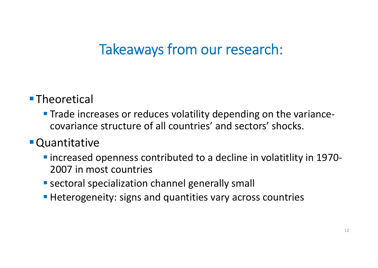# Takeaways from our research:

### ■Theoretical

**Trade increases or reduces volatility depending on the variance** ‐ covariance structure of all countries' and sectors' shocks.

### Quantitative

- increased openness contributed to a decline in volatitlity in 1970-2007 in most countries
- **Sectoral specialization channel generally small**
- **Heterogeneity: signs and quantities vary across countries**